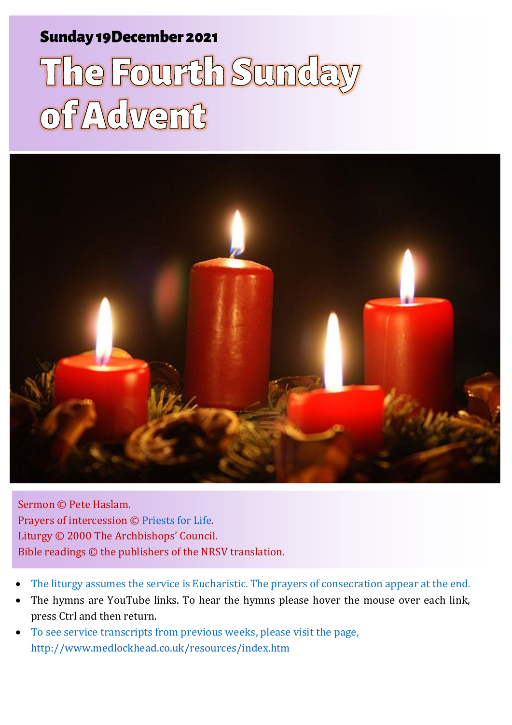# Sunday 19 December 2021 1 The Fourth Sunday of Adventure Sunday of Adventure Sunday of Adventure Sunday of Adv

# The Fourth Sunday of Advent



Sermon © Pete Haslam. Prayers of intercession © [Priests for Life.](https://www.priestsforlife.org/prayers/weeklyint/4adventb.pdf) Liturgy © 2000 The Archbishops' Council. Bible readings © the publishers of the NRSV translation.

- The liturgy assumes the service is Eucharistic. The prayers of consecration appear at the end.
- The hymns are YouTube links. To hear the hymns please hover the mouse over each link, press Ctrl and then return.
- To see service transcripts from previous weeks, please visit the page, <http://www.medlockhead.co.uk/resources/index.htm>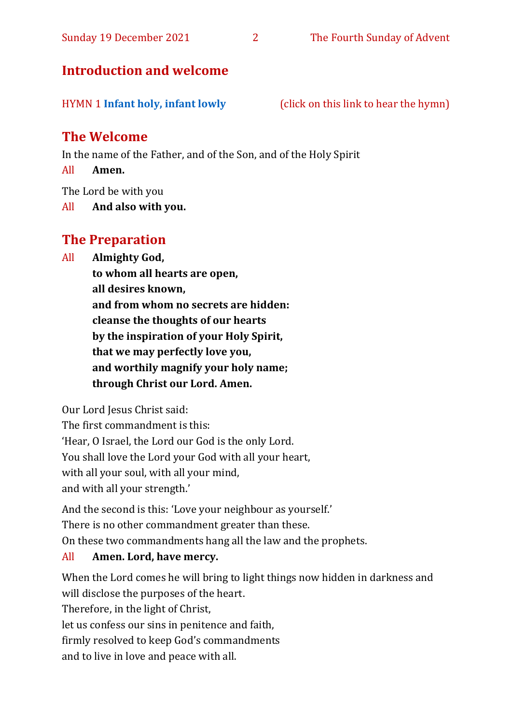#### **Introduction and welcome**

|  |  | <b>HYMN 1 Infant holy, infant lowly</b> |  |
|--|--|-----------------------------------------|--|
|  |  |                                         |  |

(click on this link to hear the hymn)

# **The Welcome**

In the name of the Father, and of the Son, and of the Holy Spirit

All **Amen.**

The Lord be with you

All **And also with you.**

## **The Preparation**

All **Almighty God,**

**to whom all hearts are open, all desires known, and from whom no secrets are hidden: cleanse the thoughts of our hearts by the inspiration of your Holy Spirit, that we may perfectly love you, and worthily magnify your holy name; through Christ our Lord. Amen.**

Our Lord Jesus Christ said:

The first commandment is this: 'Hear, O Israel, the Lord our God is the only Lord. You shall love the Lord your God with all your heart, with all your soul, with all your mind, and with all your strength.'

And the second is this: 'Love your neighbour as yourself.' There is no other commandment greater than these. On these two commandments hang all the law and the prophets.

#### All **Amen. Lord, have mercy.**

When the Lord comes he will bring to light things now hidden in darkness and will disclose the purposes of the heart.

Therefore, in the light of Christ,

let us confess our sins in penitence and faith,

firmly resolved to keep God's commandments

and to live in love and peace with all.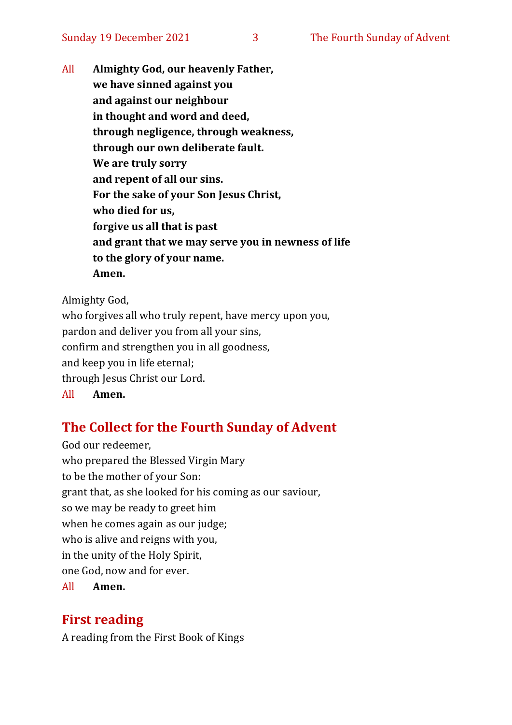All **Almighty God, our heavenly Father, we have sinned against you and against our neighbour in thought and word and deed, through negligence, through weakness, through our own deliberate fault. We are truly sorry and repent of all our sins. For the sake of your Son Jesus Christ, who died for us, forgive us all that is past and grant that we may serve you in newness of life to the glory of your name. Amen.**

Almighty God,

who forgives all who truly repent, have mercy upon you, pardon and deliver you from all your sins, confirm and strengthen you in all goodness, and keep you in life eternal; through Jesus Christ our Lord. All **Amen.**

# **The Collect for the Fourth Sunday of Advent**

God our redeemer, who prepared the Blessed Virgin Mary to be the mother of your Son: grant that, as she looked for his coming as our saviour, so we may be ready to greet him when he comes again as our judge; who is alive and reigns with you, in the unity of the Holy Spirit, one God, now and for ever.

All **Amen.**

# **First reading**

A reading from the First Book of Kings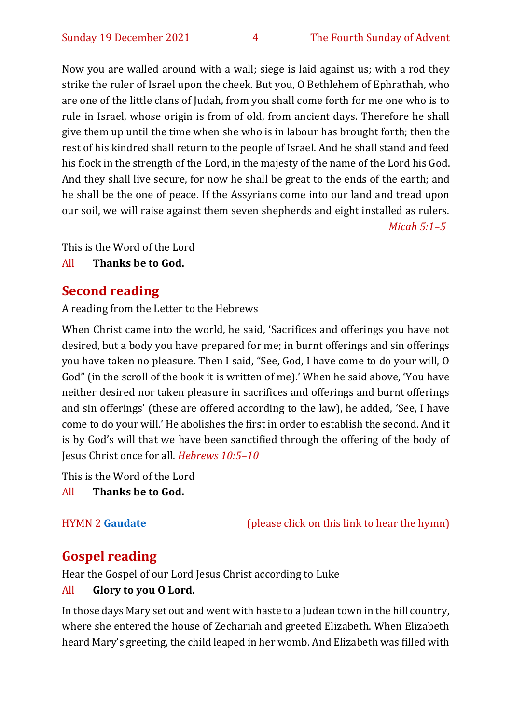Now you are walled around with a wall; siege is laid against us; with a rod they strike the ruler of Israel upon the cheek. But you, O Bethlehem of Ephrathah, who are one of the little clans of Judah, from you shall come forth for me one who is to rule in Israel, whose origin is from of old, from ancient days. Therefore he shall give them up until the time when she who is in labour has brought forth; then the rest of his kindred shall return to the people of Israel. And he shall stand and feed his flock in the strength of the Lord, in the majesty of the name of the Lord his God. And they shall live secure, for now he shall be great to the ends of the earth; and he shall be the one of peace. If the Assyrians come into our land and tread upon our soil, we will raise against them seven shepherds and eight installed as rulers. *Micah 5:1–5*

This is the Word of the Lord

All **Thanks be to God.**

## **Second reading**

A reading from the Letter to the Hebrews

When Christ came into the world, he said, 'Sacrifices and offerings you have not desired, but a body you have prepared for me; in burnt offerings and sin offerings you have taken no pleasure. Then I said, "See, God, I have come to do your will, O God" (in the scroll of the book it is written of me).' When he said above, 'You have neither desired nor taken pleasure in sacrifices and offerings and burnt offerings and sin offerings' (these are offered according to the law), he added, 'See, I have come to do your will.' He abolishes the first in order to establish the second. And it is by God's will that we have been sanctified through the offering of the body of Jesus Christ once for all. *Hebrews 10:5–10*

This is the Word of the Lord

All **Thanks be to God.**

HYMN 2 **[Gaudate](https://www.youtube.com/watch?v=RXrdfTSLWCY)** (please click on this link to hear the hymn)

# **Gospel reading**

Hear the Gospel of our Lord Jesus Christ according to Luke

#### All **Glory to you O Lord.**

In those days Mary set out and went with haste to a Judean town in the hill country, where she entered the house of Zechariah and greeted Elizabeth. When Elizabeth heard Mary's greeting, the child leaped in her womb. And Elizabeth was filled with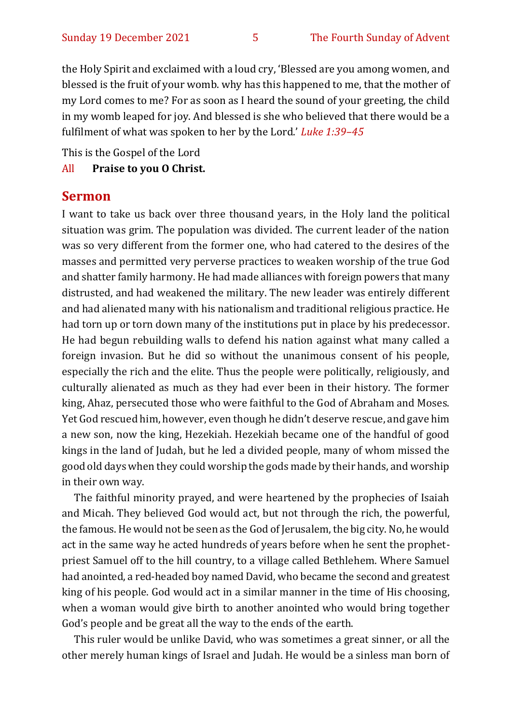the Holy Spirit and exclaimed with a loud cry, 'Blessed are you among women, and blessed is the fruit of your womb. why has this happened to me, that the mother of my Lord comes to me? For as soon as I heard the sound of your greeting, the child in my womb leaped for joy. And blessed is she who believed that there would be a fulfilment of what was spoken to her by the Lord.' *Luke 1:39–45*

This is the Gospel of the Lord

#### All **Praise to you O Christ.**

#### **Sermon**

I want to take us back over three thousand years, in the Holy land the political situation was grim. The population was divided. The current leader of the nation was so very different from the former one, who had catered to the desires of the masses and permitted very perverse practices to weaken worship of the true God and shatter family harmony. He had made alliances with foreign powers that many distrusted, and had weakened the military. The new leader was entirely different and had alienated many with his nationalism and traditional religious practice. He had torn up or torn down many of the institutions put in place by his predecessor. He had begun rebuilding walls to defend his nation against what many called a foreign invasion. But he did so without the unanimous consent of his people, especially the rich and the elite. Thus the people were politically, religiously, and culturally alienated as much as they had ever been in their history. The former king, Ahaz, persecuted those who were faithful to the God of Abraham and Moses. Yet God rescued him, however, even though he didn't deserve rescue, and gave him a new son, now the king, Hezekiah. Hezekiah became one of the handful of good kings in the land of Judah, but he led a divided people, many of whom missed the good old days when they could worship the gods made by their hands, and worship in their own way.

The faithful minority prayed, and were heartened by the prophecies of Isaiah and Micah. They believed God would act, but not through the rich, the powerful, the famous. He would not be seen as the God of Jerusalem, the big city. No, he would act in the same way he acted hundreds of years before when he sent the prophetpriest Samuel off to the hill country, to a village called Bethlehem. Where Samuel had anointed, a red-headed boy named David, who became the second and greatest king of his people. God would act in a similar manner in the time of His choosing, when a woman would give birth to another anointed who would bring together God's people and be great all the way to the ends of the earth.

This ruler would be unlike David, who was sometimes a great sinner, or all the other merely human kings of Israel and Judah. He would be a sinless man born of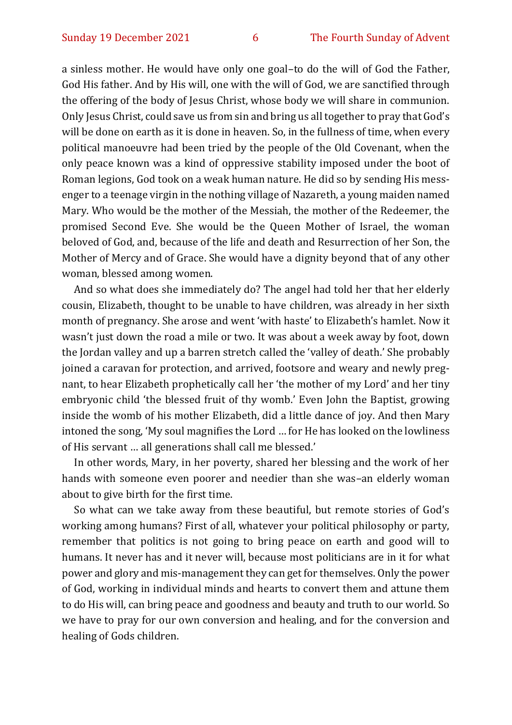a sinless mother. He would have only one goal–to do the will of God the Father, God His father. And by His will, one with the will of God, we are sanctified through the offering of the body of Jesus Christ, whose body we will share in communion. Only Jesus Christ, could save us from sin and bring us all together to pray that God's will be done on earth as it is done in heaven. So, in the fullness of time, when every political manoeuvre had been tried by the people of the Old Covenant, when the only peace known was a kind of oppressive stability imposed under the boot of Roman legions, God took on a weak human nature. He did so by sending His messenger to a teenage virgin in the nothing village of Nazareth, a young maiden named Mary. Who would be the mother of the Messiah, the mother of the Redeemer, the promised Second Eve. She would be the Queen Mother of Israel, the woman beloved of God, and, because of the life and death and Resurrection of her Son, the Mother of Mercy and of Grace. She would have a dignity beyond that of any other woman, blessed among women.

And so what does she immediately do? The angel had told her that her elderly cousin, Elizabeth, thought to be unable to have children, was already in her sixth month of pregnancy. She arose and went 'with haste' to Elizabeth's hamlet. Now it wasn't just down the road a mile or two. It was about a week away by foot, down the Jordan valley and up a barren stretch called the 'valley of death.' She probably joined a caravan for protection, and arrived, footsore and weary and newly pregnant, to hear Elizabeth prophetically call her 'the mother of my Lord' and her tiny embryonic child 'the blessed fruit of thy womb.' Even John the Baptist, growing inside the womb of his mother Elizabeth, did a little dance of joy. And then Mary intoned the song, 'My soul magnifies the Lord … for He has looked on the lowliness of His servant … all generations shall call me blessed.'

In other words, Mary, in her poverty, shared her blessing and the work of her hands with someone even poorer and needier than she was–an elderly woman about to give birth for the first time.

So what can we take away from these beautiful, but remote stories of God's working among humans? First of all, whatever your political philosophy or party, remember that politics is not going to bring peace on earth and good will to humans. It never has and it never will, because most politicians are in it for what power and glory and mis-management they can get for themselves. Only the power of God, working in individual minds and hearts to convert them and attune them to do His will, can bring peace and goodness and beauty and truth to our world. So we have to pray for our own conversion and healing, and for the conversion and healing of Gods children.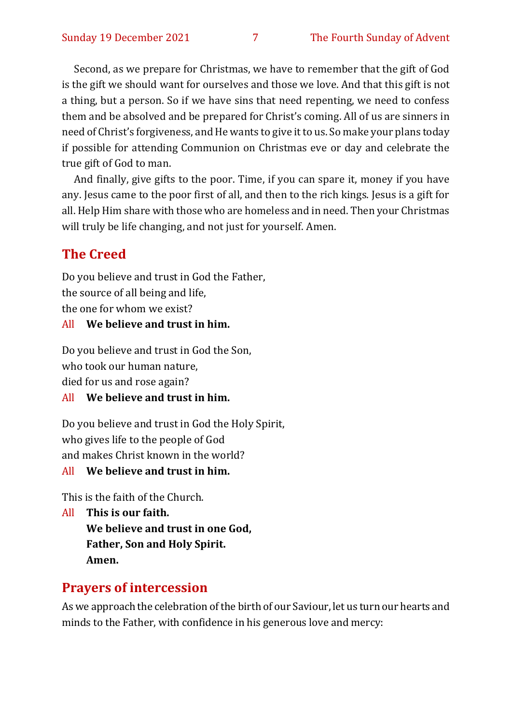Second, as we prepare for Christmas, we have to remember that the gift of God is the gift we should want for ourselves and those we love. And that this gift is not a thing, but a person. So if we have sins that need repenting, we need to confess them and be absolved and be prepared for Christ's coming. All of us are sinners in need of Christ's forgiveness, and He wants to give it to us. So make your plans today if possible for attending Communion on Christmas eve or day and celebrate the true gift of God to man.

And finally, give gifts to the poor. Time, if you can spare it, money if you have any. Jesus came to the poor first of all, and then to the rich kings. Jesus is a gift for all. Help Him share with those who are homeless and in need. Then your Christmas will truly be life changing, and not just for yourself. Amen.

# **The Creed**

Do you believe and trust in God the Father, the source of all being and life, the one for whom we exist?

#### All **We believe and trust in him.**

Do you believe and trust in God the Son, who took our human nature, died for us and rose again?

#### All **We believe and trust in him.**

Do you believe and trust in God the Holy Spirit, who gives life to the people of God and makes Christ known in the world?

#### All **We believe and trust in him.**

This is the faith of the Church.

All **This is our faith. We believe and trust in one God, Father, Son and Holy Spirit. Amen.**

# **Prayers of intercession**

As we approach the celebration of the birth of our Saviour, let us turn our hearts and minds to the Father, with confidence in his generous love and mercy: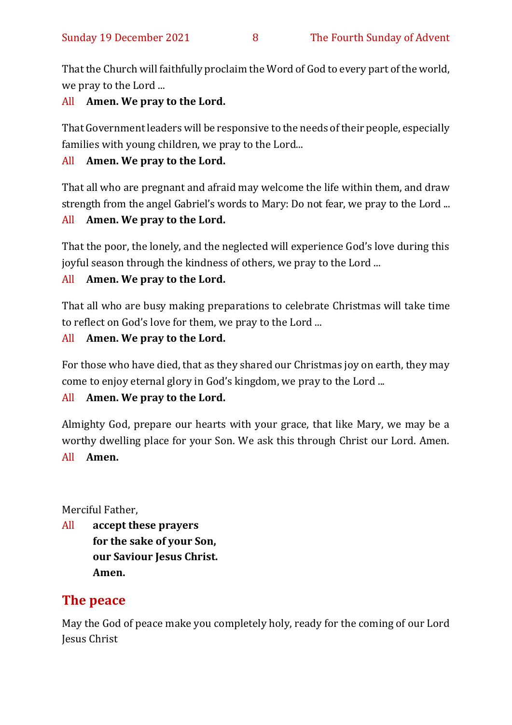That the Church will faithfully proclaim the Word of God to every part of the world, we pray to the Lord ...

#### All **Amen. We pray to the Lord.**

That Government leaders will be responsive to the needs of their people, especially families with young children, we pray to the Lord...

#### All **Amen. We pray to the Lord.**

That all who are pregnant and afraid may welcome the life within them, and draw strength from the angel Gabriel's words to Mary: Do not fear, we pray to the Lord ...

#### All **Amen. We pray to the Lord.**

That the poor, the lonely, and the neglected will experience God's love during this joyful season through the kindness of others, we pray to the Lord ...

#### All **Amen. We pray to the Lord.**

That all who are busy making preparations to celebrate Christmas will take time to reflect on God's love for them, we pray to the Lord ...

#### All **Amen. We pray to the Lord.**

For those who have died, that as they shared our Christmas joy on earth, they may come to enjoy eternal glory in God's kingdom, we pray to the Lord ...

#### All **Amen. We pray to the Lord.**

Almighty God, prepare our hearts with your grace, that like Mary, we may be a worthy dwelling place for your Son. We ask this through Christ our Lord. Amen. All **Amen.**

Merciful Father,

All **accept these prayers for the sake of your Son, our Saviour Jesus Christ. Amen.**

# **The peace**

May the God of peace make you completely holy, ready for the coming of our Lord Jesus Christ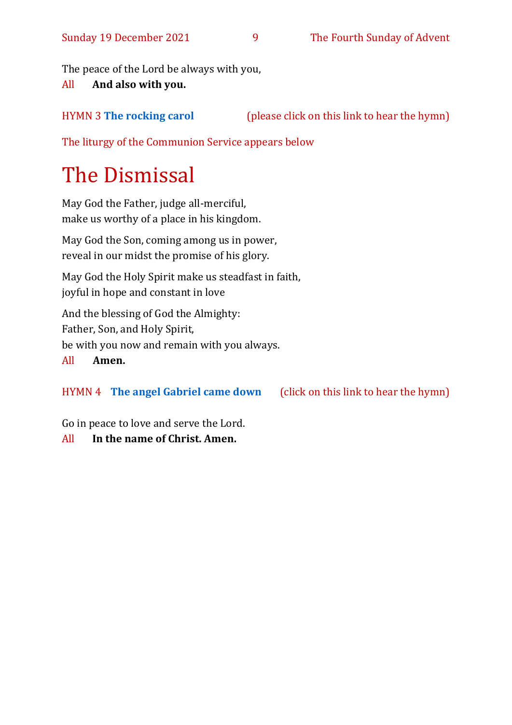The peace of the Lord be always with you,

All **And also with you.**

HYMN 3 **[The rocking carol](https://www.youtube.com/watch?v=R-yJ_C7_KYc)** (please click on this link to hear the hymn)

The liturgy of the Communion Service appears below

# The Dismissal

May God the Father, judge all-merciful, make us worthy of a place in his kingdom.

May God the Son, coming among us in power, reveal in our midst the promise of his glory.

May God the Holy Spirit make us steadfast in faith, joyful in hope and constant in love

And the blessing of God the Almighty: Father, Son, and Holy Spirit, be with you now and remain with you always.

All **Amen.**

HYMN 4 **[The angel Gabriel came down](https://www.youtube.com/watch?v=pliqObTHxUQ)** (click on this link to hear the hymn)

Go in peace to love and serve the Lord.

All **In the name of Christ. Amen.**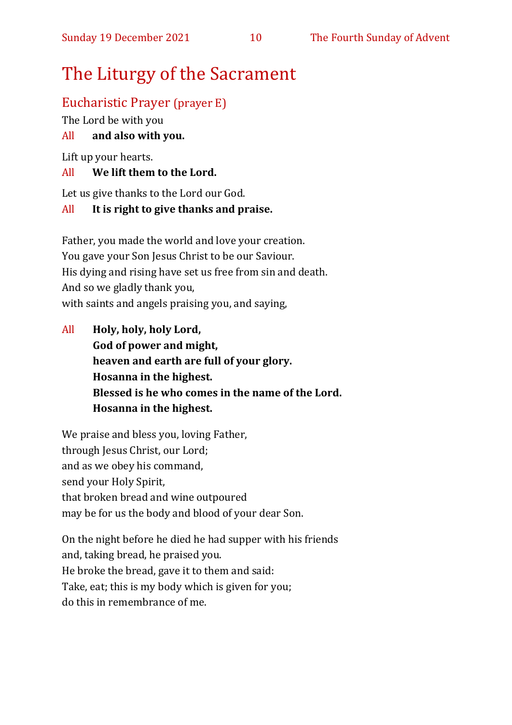# The Liturgy of the Sacrament

## Eucharistic Prayer (prayer E)

The Lord be with you

#### All **and also with you.**

Lift up your hearts.

#### All **We lift them to the Lord.**

Let us give thanks to the Lord our God.

#### All **It is right to give thanks and praise.**

Father, you made the world and love your creation. You gave your Son Jesus Christ to be our Saviour. His dying and rising have set us free from sin and death. And so we gladly thank you, with saints and angels praising you, and saying,

All **Holy, holy, holy Lord, God of power and might, heaven and earth are full of your glory. Hosanna in the highest. Blessed is he who comes in the name of the Lord. Hosanna in the highest.**

We praise and bless you, loving Father, through Jesus Christ, our Lord; and as we obey his command, send your Holy Spirit, that broken bread and wine outpoured may be for us the body and blood of your dear Son.

On the night before he died he had supper with his friends and, taking bread, he praised you. He broke the bread, gave it to them and said: Take, eat; this is my body which is given for you; do this in remembrance of me.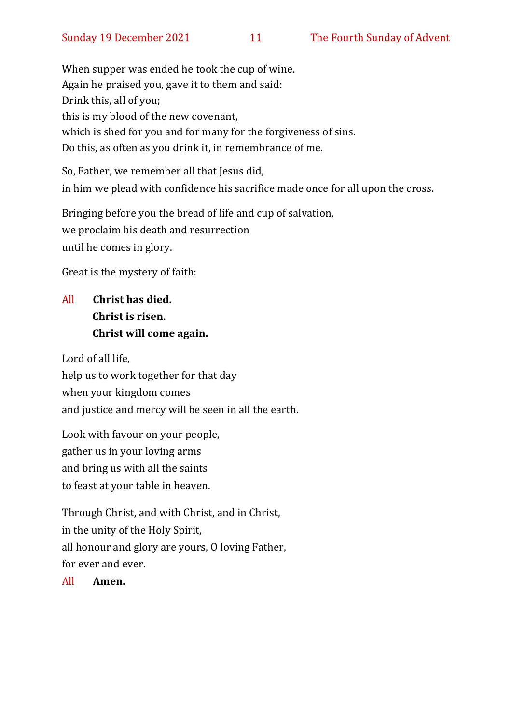When supper was ended he took the cup of wine. Again he praised you, gave it to them and said: Drink this, all of you; this is my blood of the new covenant, which is shed for you and for many for the forgiveness of sins. Do this, as often as you drink it, in remembrance of me.

So, Father, we remember all that Jesus did, in him we plead with confidence his sacrifice made once for all upon the cross.

Bringing before you the bread of life and cup of salvation, we proclaim his death and resurrection until he comes in glory.

Great is the mystery of faith:

# All **Christ has died. Christ is risen. Christ will come again.**

Lord of all life, help us to work together for that day when your kingdom comes and justice and mercy will be seen in all the earth.

Look with favour on your people, gather us in your loving arms and bring us with all the saints to feast at your table in heaven.

Through Christ, and with Christ, and in Christ, in the unity of the Holy Spirit, all honour and glory are yours, O loving Father, for ever and ever.

All **Amen.**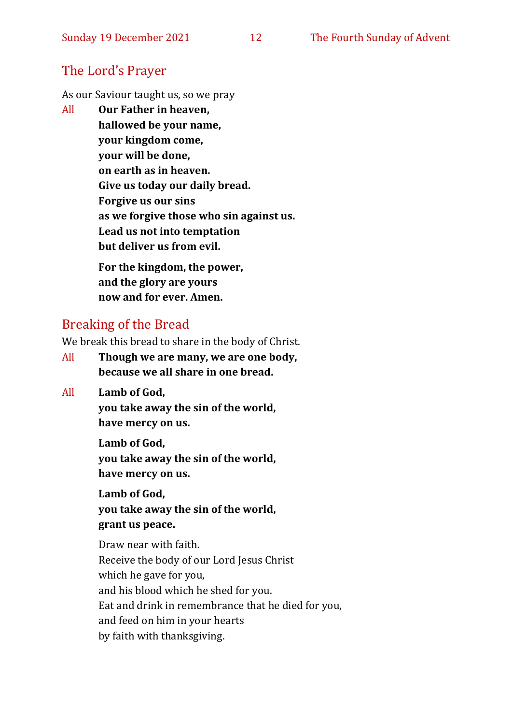# The Lord's Prayer

As our Saviour taught us, so we pray

All **Our Father in heaven, hallowed be your name, your kingdom come, your will be done, on earth as in heaven. Give us today our daily bread. Forgive us our sins as we forgive those who sin against us. Lead us not into temptation but deliver us from evil. For the kingdom, the power,** 

**and the glory are yours now and for ever. Amen.**

# Breaking of the Bread

We break this bread to share in the body of Christ.

- All **Though we are many, we are one body, because we all share in one bread.**
- All **Lamb of God,**

**you take away the sin of the world, have mercy on us.**

**Lamb of God, you take away the sin of the world, have mercy on us.**

**Lamb of God, you take away the sin of the world, grant us peace.**

Draw near with faith. Receive the body of our Lord Jesus Christ which he gave for you, and his blood which he shed for you. Eat and drink in remembrance that he died for you, and feed on him in your hearts by faith with thanksgiving.